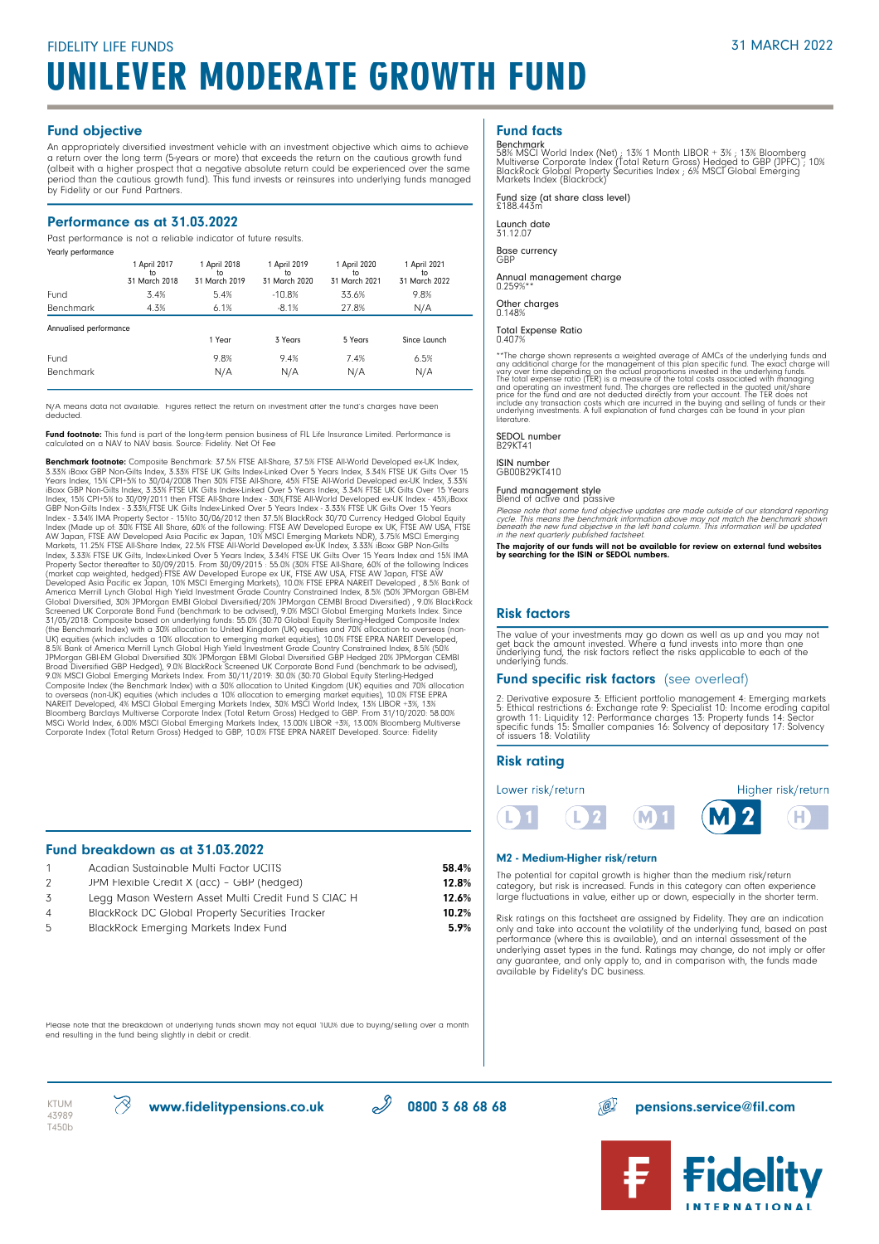### Fund objective

An appropriately diversified investment vehicle with an investment objective which aims to achieve a return over the long term (5-years or more) that exceeds the return on the cautious growth fund (albeit with a higher prospect that a negative absolute return could be experienced over the same period than the cautious growth fund). This fund invests or reinsures into underlying funds managed by Fidelity or our Fund Partners.

### Performance as at 31.03.2022

Past performance is not a reliable indicator of future results.

| Yearly performance     |                                     |                                     |                                     |                                     |                                     |
|------------------------|-------------------------------------|-------------------------------------|-------------------------------------|-------------------------------------|-------------------------------------|
|                        | 1 April 2017<br>to<br>31 March 2018 | 1 April 2018<br>to<br>31 March 2019 | 1 April 2019<br>to<br>31 March 2020 | 1 April 2020<br>to<br>31 March 2021 | 1 April 2021<br>to<br>31 March 2022 |
| Fund                   | 3.4%                                | 5.4%                                | $-10.8%$                            | 33.6%                               | 9.8%                                |
| Benchmark              | 4.3%                                | 6.1%                                | $-8.1%$                             | 27.8%                               | N/A                                 |
| Annualised performance |                                     |                                     |                                     |                                     |                                     |
|                        |                                     | 1 Year                              | 3 Years                             | 5 Years                             | Since Launch                        |
| Fund                   |                                     | 9.8%                                | 9.4%                                | 7.4%                                | 6.5%                                |
| Benchmark              |                                     | N/A                                 | N/A                                 | N/A                                 | N/A                                 |
|                        |                                     |                                     |                                     |                                     |                                     |

N/A means data not available. Figures reflect the return on investment after the fund's charges have been deducted.

**Fund footnote:** This fund is part of the long-term pension business of FIL Life Insurance Limited. Performance is<br>calculated on a NAV to NAV basis. Source: Fidelity. Net Of Fee

**Benchmark foothoet:** Composite Benchmark: 37.5% FTSE All-Share, 37.5% FTSE All-World Developed ex-UK Index, 15% CPI+5% to 30/04/2008 Then 30% FTSE All-Share, 45% FTSE All-World Developed ex-UK Index, 15% CPI+5% to 30/04/2 (the Benchmark Index) with a 30% allocation to United Kingdom (UK) equities and 70% allocation to overseas (non-<br>UK) equities (which includes a 10% allocation to emerging market equities), 10.0% FTSE EPRA NAREIT Developed, Composite Index (the Benchmark Index) with a 30% allocation to United Kingdom (UK) equities and 70% allocation<br>to overseas (non-UK) equities (which includes a 10% allocation to emerging market equities), 10.0% FTSE EPRA<br>NA Corporate Index (Total Return Gross) Hedged to GBP, 10.0% FTSE EPRA NAREIT Developed. Source: Fidelity

### Fund breakdown as at 31.03.2022

|   | Acadian Sustainable Multi Factor UCITS                 | 58.4% |
|---|--------------------------------------------------------|-------|
| 2 | JPM Flexible Credit X (acc) - GBP (hedged)             | 12.8% |
| 3 | Legg Mason Western Asset Multi Credit Fund S CIAC H    | 12.6% |
| 4 | <b>BlackRock DC Global Property Securities Tracker</b> | 10.2% |
| 5 | <b>BlackRock Emerging Markets Index Fund</b>           | 5.9%  |

### Fund facts

Benchmark<br>58% MSCI World Index (Net) ; 13% 1 Month LIBOR + 3% ; 13% Bloomberg<br>Multiverse Corporate Index (Total Return Gross) Hedged to GBP (JPFC) ; 10%<br>BlackRock Global Property Securities Index ; 6% MSCI Global Emerging<br>

Fund size (at share class level) £188.443m

Launch date 31.12.07

Base currency

GBP

Annual management charge 0.259%\*\*

Other charges 0.148%

### Total Expense Ratio

0.407%

\*\*The charge shown represents a weighted average of AMCs of the underlying funds and<br>any additional charge for the management of this plan specific fund. The exact charge will<br>vary over time depending on the actual proport

SEDOL number B29KT41

### ISIN number GB00B29KT410

Fund management style Blend of active and passive

Please note that some fund objective updates are made outside of our standard reporting<br>cycle. This means the benchmark information above may not match the benchmark shown<br>beneath the new fund objective in the left hand co

The majority of our funds will not be available for review on external fund websites by searching for the ISIN or SEDOL numbers.

### Risk factors

The value of your investments may go down as well as up and you may not<br>get back the amount invested. Where a fund invests into more than one<br>underlying fund, the risk factors reflect the risks applicable to each of the<br>un

### Fund specific risk factors (see overleaf)

2: Derivative exposure 3: Efficient portfolio management 4: Emerging markets<br>5: Ethical restrictions 6: Exchange rate 9: Specialist 10: Income eroding capital<br>growth 11: Liquidity 12: Performance charges 13: Property funds of issuers 18: Volatility

### Risk rating





### M2 - Medium-Higher risk/return

L

The potential for capital growth is higher than the medium risk/return category, but risk is increased. Funds in this category can often experience large fluctuations in value, either up or down, especially in the shorter term.

**M1** 

Risk ratings on this factsheet are assigned by Fidelity. They are an indication only and take into account the volatility of the underlying fund, based on past performance (where this is available), and an internal assessment of the underlying asset types in the fund. Ratings may change, do not imply or offer any guarantee, and only apply to, and in comparison with, the funds made available by Fidelity's DC business.

Please note that the breakdown of underlying funds shown may not equal 100% due to buying/selling over a month end resulting in the fund being slightly in debit or credit.





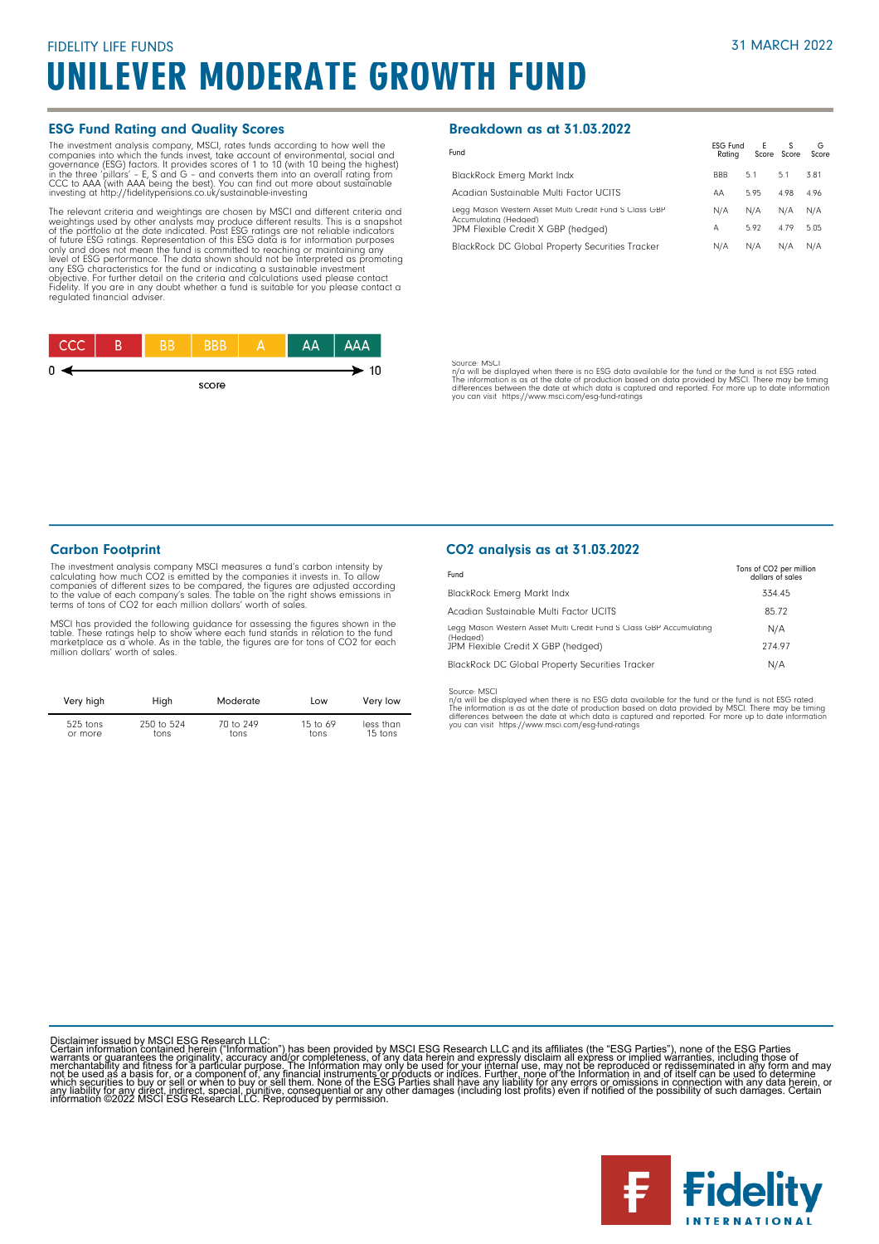### ESG Fund Rating and Quality Scores

The investment analysis company, MSCI, rates funds according to how well the gompanies into which the funds invest, take account of environmental, social and governance (ESG) factors. It provides scores of 1 to 10 (with 10

The relevant criteria and weightings are chosen by MSCI and different criteria and weightings used by other analysts may produce different results. This is a snapshot<br>of the portfolio at the date indicated. Past ESG ratings are not reliable indicators<br>of tuture ESG ratings. Representation of this ESG dat Fidelity. If you are in any doubt whether a fund is suitable for you please contact a regulated financial adviser.



### Breakdown as at 31.03.2022

| Fund                                                                            | <b>ESG Fund</b><br>Ratina | E    | S<br>Score Score | G<br>Score |
|---------------------------------------------------------------------------------|---------------------------|------|------------------|------------|
| <b>BlackRock Emerg Markt Indx</b>                                               | <b>BBB</b>                | 5.1  | 5.1              | 3.81       |
| Acadian Sustainable Multi Factor UCITS                                          | AA                        | 5.95 | 4.98             | 4.96       |
| Legg Mason Western Asset Multi Credit Fund S Class GBP<br>Accumulating (Hedged) | N/A                       | N/A  | N/A              | N/A        |
| JPM Flexible Credit X GBP (hedged)                                              | А                         | 5.92 | 4.79             | 5.05       |
| <b>BlackRock DC Global Property Securities Tracker</b>                          | N/A                       | N/A  | N/A              | N/A        |

Source: MSCl<br>The will be displayed when there is no ESG data available for the fund or the fund is not ESG rated.<br>The information is as at the date of production based on data provided by MSCl. There may be timing<br>differen

### Carbon Footprint

The investment analysis company MSCI measures a fund's carbon intensity by<br>calculating how much CO2 is emitted by the companies it invests in. To allow<br>companies of different sizes to be compared, the figures are adjusted terms of tons of CO2 for each million dollars' worth of sales.

MSCI has provided the following guidance for assessing the figures shown in the<br>table. These ratings help to show where each fund stands in relation to the fund<br>marketplace as a whole. As in the table, the figures are for million dollars' worth of sales.

| Very high  | High       | Moderate  | Low        | Very low  |
|------------|------------|-----------|------------|-----------|
| $525$ tons | 250 to 524 | 70 to 249 | 15 to $69$ | less than |
| or more    | tons       | tons      | tons       | 15 tons   |

### CO2 analysis as at 31.03.2022

| Fund                                                                            | Tons of CO2 per million<br>dollars of sales |
|---------------------------------------------------------------------------------|---------------------------------------------|
| BlackRock Emerg Markt Indx                                                      | 334.45                                      |
| Acadian Sustainable Multi Factor UCITS                                          | 85.72                                       |
| Legg Mason Western Asset Multi Credit Fund S Class GBP Accumulating<br>(Hedaed) | N/A                                         |
| JPM Flexible Credit X GBP (hedged)                                              | 274.97                                      |
| BlackRock DC Global Property Securities Tracker                                 | N/A                                         |

Source: MSCI<br>n/a will be displayed when there is no ESG data available for the fund or the fund is not ESG rated.<br>The information is as at the date of production based on data provided by MSCI. There may be timing<br>differen

Disclaimer issued by MSCI ESG Research LLC:<br>Certain information contained herein ("Information") has been provided by MSCI ESG Research LLC and its affiliates (the "ESG Parties"), none of the ESG Parties<br>Certain informatio

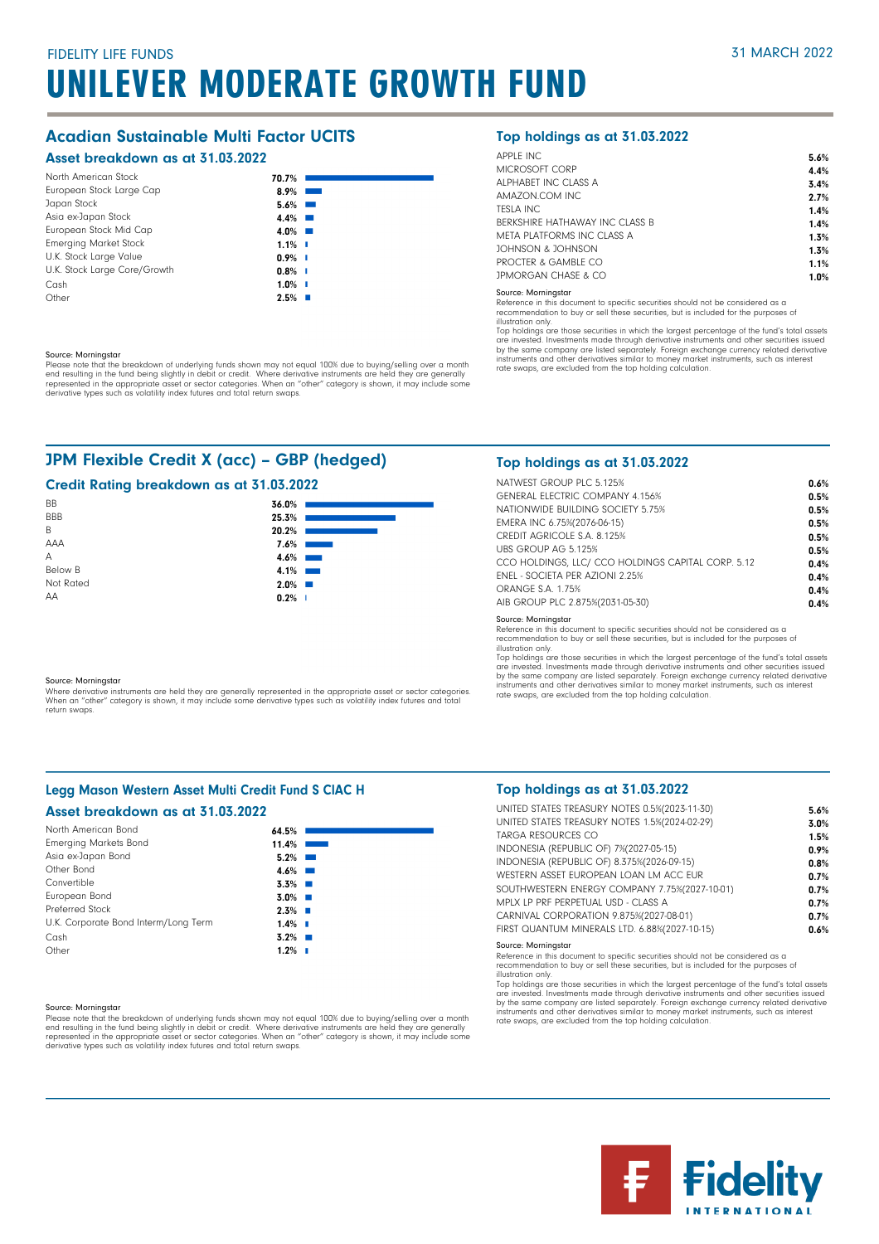# UNILEVER MODERATE GROWTH FUND

### Acadian Sustainable Multi Factor UCITS

### Asset breakdown as at 31.03.2022

| North American Stock         | 70.7%                      |
|------------------------------|----------------------------|
| European Stock Large Cap     | 8.9%<br><b>The Company</b> |
| Japan Stock                  | $5.6\%$                    |
| Asia ex-Japan Stock          | $4.4\%$                    |
| European Stock Mid Cap       | $4.0\%$                    |
| <b>Emerging Market Stock</b> | $1.1\%$                    |
| U.K. Stock Large Value       | $0.9\%$ I                  |
| U.K. Stock Large Core/Growth | $0.8\%$ I                  |
| Cash                         | $1.0\%$ I                  |
| Other                        | 2.5%                       |

### Source: Morningstar

Please note that the breakdown of underlying funds shown may not equal 100% due to buying/selling over a month end resulting in the fund being slightly in debit or credit. Where derivative instruments are held they are generally<br>represented in the appropriate asset or sector categories. When an "other" category is shown, it may inc

### JPM Flexible Credit X (acc) – GBP (hedged)

### Credit Rating breakdown as at 31.03.2022

| BB         | 36.0%   |                 |
|------------|---------|-----------------|
| <b>BBB</b> | 25.3%   |                 |
| B          | 20.2%   |                 |
| AAA        | 7.6%    |                 |
| A          | 4.6%    | <b>Contract</b> |
| Below B    | 4.1%    | <b>Contract</b> |
| Not Rated  | $2.0\%$ |                 |
| AA         | 0.2%    | - I             |

#### Source: Morningstar

Where derivative instruments are held they are generally represented in the appropriate asset or sector categories.<br>When an "other" category is shown, it may include some derivative types such as volatility index futures a return swaps.

### Legg Mason Western Asset Multi Credit Fund S ClAC H

#### Asset breakdown as at 31.03.2022 North American Bond 64.5% 11.4% 5.2% 4.6% 3.3% 3.0%  $2.3\%$  $1.4\%$ 3.2% Emerging Markets Bond Asia ex-Japan Bond Other Bond Convertible European Bond Preferred Stock U.K. Corporate Bond Interm/Long Term Cash

#### Source: Morningstar

**Other** 

Please note that the breakdown of underlying funds shown may not equal 100% due to buying/selling over a month<br>end resulting in the fund being slightly in debit or credit. Where derivative instruments are held they are gen

 $1.2\%$  |

### Top holdings as at 31.03.2022

| APPLE INC                      | 5.6% |
|--------------------------------|------|
| MICROSOFT CORP                 | 4.4% |
| ALPHABET INC CLASS A           | 3.4% |
| AMAZON.COM INC.                | 2.7% |
| TESLA INC                      | 1.4% |
| BERKSHIRE HATHAWAY INC CLASS B | 1.4% |
| META PLATEORMS INC CLASS A     | 1.3% |
| JOHNSON & JOHNSON              | 1.3% |
| PROCTER & GAMBLE CO            | 1.1% |
| <b>JPMORGAN CHASE &amp; CO</b> | 1.0% |

### Source: Morningstar

Reference in this document to specific securities should not be considered as a

recommendation to buy or sell these securities, but is included for the purposes of illustration only.

Top holdings are those securities in which the largest percentage of the fund's total assets are invested. Investments made through derivative instruments and other securities issued by the same company are listed separately. Foreign exchange currency related derivative instruments and other derivatives similar to money market instruments, such as interest rate swaps, are excluded from the top holding calculation.

### Top holdings as at 31.03.2022

| NATWEST GROUP PLC 5.125%                           | 0.6% |
|----------------------------------------------------|------|
| <b>GENERAL ELECTRIC COMPANY 4.156%</b>             | 0.5% |
| NATIONWIDE BUILDING SOCIETY 5.75%                  | 0.5% |
| EMERA INC 6.75%(2076-06-15)                        | 0.5% |
| CREDIT AGRICOLE S.A. 8.125%                        | 0.5% |
| UBS GROUP AG 5.125%                                | 0.5% |
| CCO HOLDINGS, LLC/ CCO HOLDINGS CAPITAL CORP. 5.12 | 0.4% |
| <b>FNEL - SOCIFTA PER AZIONI 2.25%</b>             | 0.4% |
| <b>ORANGE S.A. 1.75%</b>                           | 0.4% |
| AIB GROUP PLC 2.875%(2031-05-30)                   | 0.4% |
| Correct Manufacturers                              |      |

Source: Morningstar Reference in this document to specific securities should not be considered as a recommendation to buy or sell these securities, but is included for the purposes of

illustration only.<br>Top holdings are those securities in which the largest percentage of the fund's total assets<br>are invested. Investments made through derivative instruments and other securities issued<br>by the same company rate swaps, are excluded from the top holding calculation.

### Top holdings as at 31.03.2022

| UNITED STATES TREASURY NOTES 0.5%(2023-11-30) | 5.6% |
|-----------------------------------------------|------|
| UNITED STATES TREASURY NOTES 1.5%(2024-02-29) | 3.0% |
| TARGA RESOURCES CO                            | 1.5% |
| INDONESIA (REPUBLIC OF) 7%(2027-05-15)        | 0.9% |
| INDONESIA (REPUBLIC OF) 8.375%(2026-09-15)    | 0.8% |
| WESTERN ASSET FUROPEAN LOAN LM ACC FUR        | 0.7% |
| SOUTHWESTERN ENERGY COMPANY 7.75%(2027-10-01) | 0.7% |
| MPLX LP PRF PERPETUAL USD - CLASS A           | 0.7% |
| CARNIVAL CORPORATION 9.875%(2027-08-01)       | 0.7% |
| FIRST QUANTUM MINERALS LTD. 6.88%(2027-10-15) | 0.6% |
|                                               |      |

#### Source: Morningstar

Reference in this document to specific securities should not be considered as a recommendation to buy or sell these securities, but is included for the purposes of illustration only.

Top holdings are those securities in which the largest percentage of the fund's total assets<br>are invested. Investments made through derivative instruments and other securities issued<br>by the same company are listed separate rate swaps, are excluded from the top holding calculation.

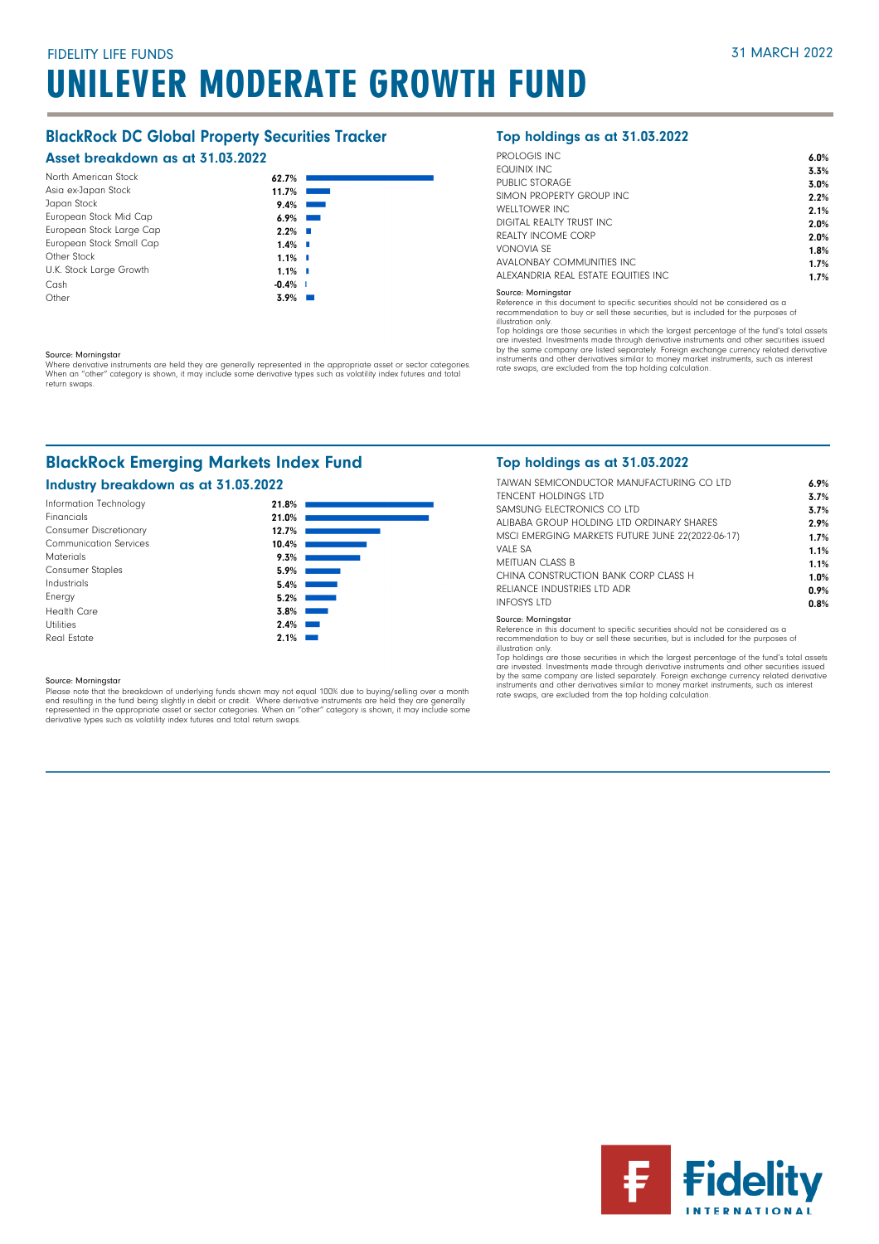### BlackRock DC Global Property Securities Tracker

### Asset breakdown as at 31.03.2022

| North American Stock     | 62.7%                  |
|--------------------------|------------------------|
| Asia ex-Japan Stock      | 11.7%                  |
| Japan Stock              | 9.4%                   |
| European Stock Mid Cap   | 6.9%                   |
| European Stock Large Cap | $2.2\%$ $\Box$         |
| European Stock Small Cap | $1.4\%$ $\blacksquare$ |
| Other Stock              | $1.1\%$ $\blacksquare$ |
| U.K. Stock Large Growth  | $1.1\%$ $\blacksquare$ |
| Cash                     | $-0.4\%$               |
| Other                    | 3.9%                   |

#### Source: Morningstar

Where derivative instruments are held they are generally represented in the appropriate asset or sector categories.<br>When an "other" category is shown, it may include some derivative types such as volatility index futures a return swaps.

### BlackRock Emerging Markets Index Fund

### Industry breakdown as at 31.03.2022



#### Source: Morningstar

Please note that the breakdown of underlying funds shown may not equal 100% due to buying/selling over a month<br>end resulting in the fund being slightly in debit or credit. Where derivative instruments are held they are gen derivative types such as volatility index futures and total return swaps.

### Top holdings as at 31.03.2022

| PROLOGIS INC.                        | 6.0% |
|--------------------------------------|------|
| FOUINIX INC                          | 3.3% |
| PUBLIC STORAGE                       | 3.0% |
| SIMON PROPERTY GROUP INC.            | 2.2% |
| WFLLTOWER INC.                       | 2.1% |
| DIGITAL REALTY TRUST INC.            | 2.0% |
| REALTY INCOME CORP                   | 2.0% |
| VONOVIA SF                           | 1.8% |
| AVALONBAY COMMUNITIES INC.           | 1.7% |
| ALEXANDRIA REAL ESTATE FOUITIES INC. | 1.7% |
|                                      |      |

#### Source: Morningstar

Reference in this document to specific securities should not be considered as a

recommendation to buy or sell these securities, but is included for the purposes of illustration only

illustration only.<br>Top holdings are those securities in which the largest percentage of the fund's total assets<br>are invested. Investments made through derivative instruments and other securities issued<br>by the same company instruments and other derivatives similar to money market instruments, such as interest rate swaps, are excluded from the top holding calculation.

### Top holdings as at 31.03.2022

| TAIWAN SEMICONDUCTOR MANUFACTURING CO LTD        | 6.9% |
|--------------------------------------------------|------|
| <b>TENCENT HOLDINGS LTD</b>                      | 3.7% |
| SAMSUNG FLECTRONICS CO LTD                       | 3.7% |
| ALIBABA GROUP HOLDING LTD ORDINARY SHARES        | 2.9% |
| MSCI EMERGING MARKETS FUTURE JUNE 22(2022-06-17) | 1.7% |
| VALF SA                                          | 1.1% |
| MFITUAN CLASS B                                  | 1.1% |
| CHINA CONSTRUCTION BANK CORP CLASS H             | 1.0% |
| RELIANCE INDUSTRIES LTD ADR                      | 0.9% |
| <b>INFOSYS LTD</b>                               | 0.8% |
| Source: Morningstar                              |      |

Source: Morningstar Reference in this document to specific securities should not be considered as a recommendation to buy or sell these securities, but is included for the purposes of illustration only.

Top holdings are those securities in which the largest percentage of the fund's total assets<br>are invested. Investments made through derivative instruments and other securities issued<br>by the same company are listed separate rate swaps, are excluded from the top holding calculation.